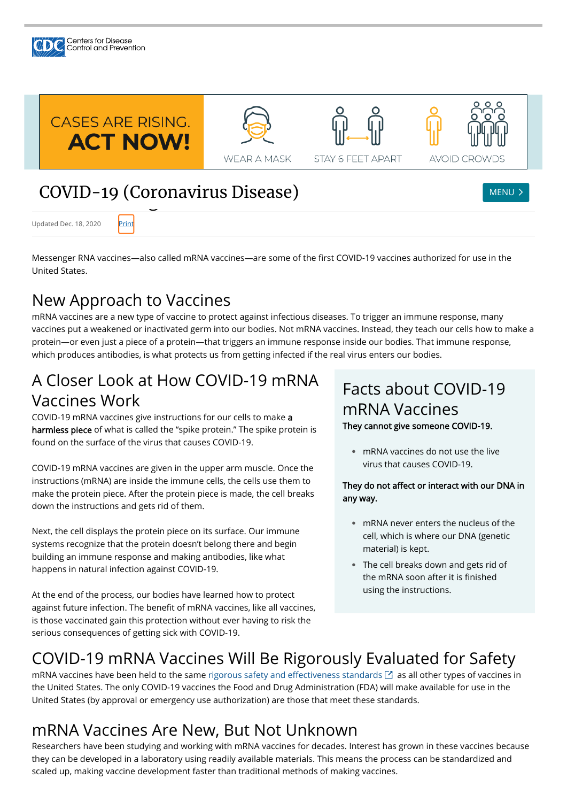Messenger RNA vaccines—also called mRNA vaccines—are some of the first COVID-19 vaccines authorized for use in the United States.

## New Approach to Vaccines

mRNA vaccines are a new type of vaccine to protect against infectious diseases. To trigger an immune response, many vaccines put a weakened or inactivated germ into our bodies. Not mRNA vaccines. Instead, they teach our cells how to make a protein—or even just a piece of a protein—that triggers an immune response inside our bodies. That immune response, which produces antibodies, is what protects us from getting infected if the real virus enters our bodies.

# A Closer Look at How COVID-19 mRNA Vaccines Work

COVID-19 mRNA vaccines give instructions for our cells to make a harmless piece of what is called the "spike protein." The spike protein is found on the surface of the virus that causes COVID-19.

> They do not affect or interact with our DNA in any way.

- mRNA never enters the nucleus of the cell, which is where our DNA (genetic material) is kept.
- The cell breaks down and gets rid of **●** the mRNA soon after it is finished using the instructions.

COVID-19 mRNA vaccines are given in the upper arm muscle. Once the instructions (mRNA) are inside the immune cells, the cells use them to make the protein piece. After the protein piece is made, the cell breaks down the instructions and gets rid of them.

mRNA vaccines have been held to the same rigorous safety and effectiveness standards  $\boxtimes$  as all other types of vaccines in the United States. The only COVID-19 vaccines the Food and Drug Administration (FDA) will make available for use in the United States (by approval or emergency use authorization) are those that meet these standards.

Next, the cell displays the protein piece on its surface. Our immune systems recognize that the protein doesn't belong there and begin building an immune response and making antibodies, like what happens in natural infection against COVID-19.



Centers for Disease<br>Control and Prevention

Updated Dec. 18, 2020

At the end of the process, our bodies have learned how to protect against future infection. The benefit of mRNA vaccines, like all vaccines, is those vaccinated gain this protection without ever having to risk the serious consequences of getting sick with COVID-19.

# Facts about COVID-19 mRNA Vaccines

They cannot give someone COVID-19.

mRNA vaccines do not use the live **●** virus that causes COVID-19.

### COVID-19 mRNA Vaccines Will Be Rigorously Evaluated for Safety

#### mRNA Vaccines Are New, But Not Unknown

Researchers have been studying and working with mRNA vaccines for decades. Interest has grown in these vaccines because they can be developed in a laboratory using readily available materials. This means the process can be standardized and scaled up, making vaccine development faster than traditional methods of making vaccines.